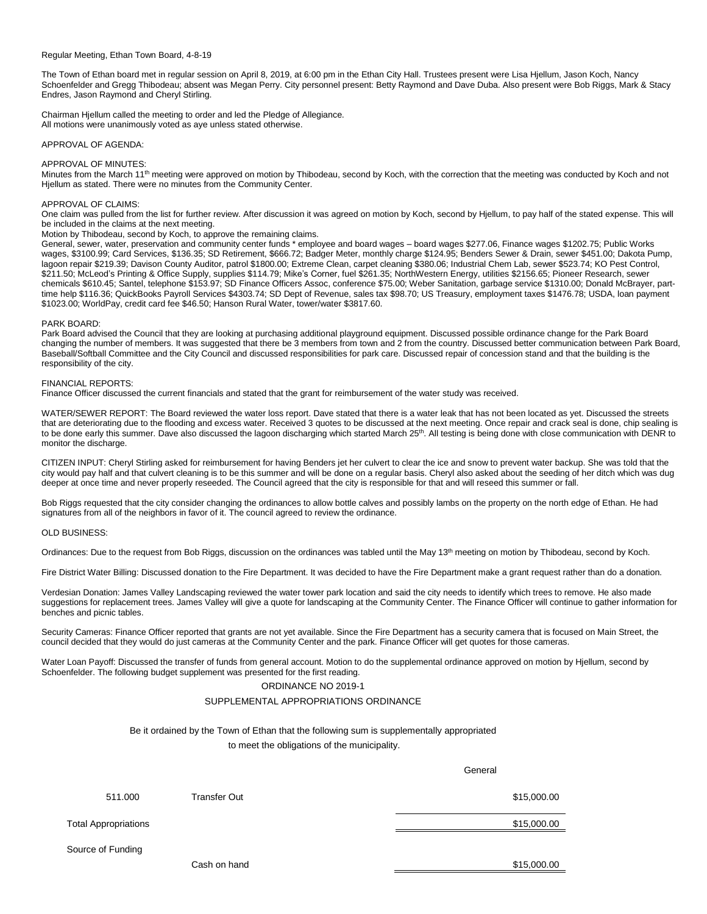## Regular Meeting, Ethan Town Board, 4-8-19

The Town of Ethan board met in regular session on April 8, 2019, at 6:00 pm in the Ethan City Hall. Trustees present were Lisa Hjellum, Jason Koch, Nancy Schoenfelder and Gregg Thibodeau; absent was Megan Perry. City personnel present: Betty Raymond and Dave Duba. Also present were Bob Riggs, Mark & Stacy Endres, Jason Raymond and Cheryl Stirling.

Chairman Hjellum called the meeting to order and led the Pledge of Allegiance. All motions were unanimously voted as aye unless stated otherwise.

APPROVAL OF AGENDA:

## APPROVAL OF MINUTES:

Minutes from the March 11<sup>th</sup> meeting were approved on motion by Thibodeau, second by Koch, with the correction that the meeting was conducted by Koch and not Hjellum as stated. There were no minutes from the Community Center.

## APPROVAL OF CLAIMS:

One claim was pulled from the list for further review. After discussion it was agreed on motion by Koch, second by Hjellum, to pay half of the stated expense. This will be included in the claims at the next meeting.

Motion by Thibodeau, second by Koch, to approve the remaining claims.

General, sewer, water, preservation and community center funds \* employee and board wages – board wages \$277.06, Finance wages \$1202.75; Public Works wages, \$3100.99; Card Services, \$136.35; SD Retirement, \$666.72; Badger Meter, monthly charge \$124.95; Benders Sewer & Drain, sewer \$451.00; Dakota Pump, lagoon repair \$219.39; Davison County Auditor, patrol \$1800.00; Extreme Clean, carpet cleaning \$380.06; Industrial Chem Lab, sewer \$523.74; KO Pest Control, \$211.50; McLeod's Printing & Office Supply, supplies \$114.79; Mike's Corner, fuel \$261.35; NorthWestern Energy, utilities \$2156.65; Pioneer Research, sewer chemicals \$610.45; Santel, telephone \$153.97; SD Finance Officers Assoc, conference \$75.00; Weber Sanitation, garbage service \$1310.00; Donald McBrayer, parttime help \$116.36; QuickBooks Payroll Services \$4303.74; SD Dept of Revenue, sales tax \$98.70; US Treasury, employment taxes \$1476.78; USDA, loan payment \$1023.00; WorldPay, credit card fee \$46.50; Hanson Rural Water, tower/water \$3817.60.

## PARK BOARD:

Park Board advised the Council that they are looking at purchasing additional playground equipment. Discussed possible ordinance change for the Park Board changing the number of members. It was suggested that there be 3 members from town and 2 from the country. Discussed better communication between Park Board, Baseball/Softball Committee and the City Council and discussed responsibilities for park care. Discussed repair of concession stand and that the building is the responsibility of the city.

## FINANCIAL REPORTS:

Finance Officer discussed the current financials and stated that the grant for reimbursement of the water study was received.

WATER/SEWER REPORT: The Board reviewed the water loss report. Dave stated that there is a water leak that has not been located as yet. Discussed the streets that are deteriorating due to the flooding and excess water. Received 3 quotes to be discussed at the next meeting. Once repair and crack seal is done, chip sealing is to be done early this summer. Dave also discussed the lagoon discharging which started March 25<sup>th</sup>. All testing is being done with close communication with DENR to monitor the discharge.

CITIZEN INPUT: Cheryl Stirling asked for reimbursement for having Benders jet her culvert to clear the ice and snow to prevent water backup. She was told that the city would pay half and that culvert cleaning is to be this summer and will be done on a regular basis. Cheryl also asked about the seeding of her ditch which was dug deeper at once time and never properly reseeded. The Council agreed that the city is responsible for that and will reseed this summer or fall.

Bob Riggs requested that the city consider changing the ordinances to allow bottle calves and possibly lambs on the property on the north edge of Ethan. He had signatures from all of the neighbors in favor of it. The council agreed to review the ordinance.

#### OLD BUSINESS:

Ordinances: Due to the request from Bob Riggs, discussion on the ordinances was tabled until the May 13<sup>th</sup> meeting on motion by Thibodeau, second by Koch.

Fire District Water Billing: Discussed donation to the Fire Department. It was decided to have the Fire Department make a grant request rather than do a donation.

Verdesian Donation: James Valley Landscaping reviewed the water tower park location and said the city needs to identify which trees to remove. He also made suggestions for replacement trees. James Valley will give a quote for landscaping at the Community Center. The Finance Officer will continue to gather information for benches and picnic tables.

General

Security Cameras: Finance Officer reported that grants are not yet available. Since the Fire Department has a security camera that is focused on Main Street, the council decided that they would do just cameras at the Community Center and the park. Finance Officer will get quotes for those cameras.

Water Loan Payoff: Discussed the transfer of funds from general account. Motion to do the supplemental ordinance approved on motion by Hjellum, second by Schoenfelder. The following budget supplement was presented for the first reading.

# ORDINANCE NO 2019-1

## SUPPLEMENTAL APPROPRIATIONS ORDINANCE

Be it ordained by the Town of Ethan that the following sum is supplementally appropriated

to meet the obligations of the municipality.

|                             |                     | ישיוטיש     |
|-----------------------------|---------------------|-------------|
| 511.000                     | <b>Transfer Out</b> | \$15,000.00 |
| <b>Total Appropriations</b> |                     | \$15,000.00 |
| Source of Funding           |                     |             |
|                             | Cash on hand        | \$15,000.00 |